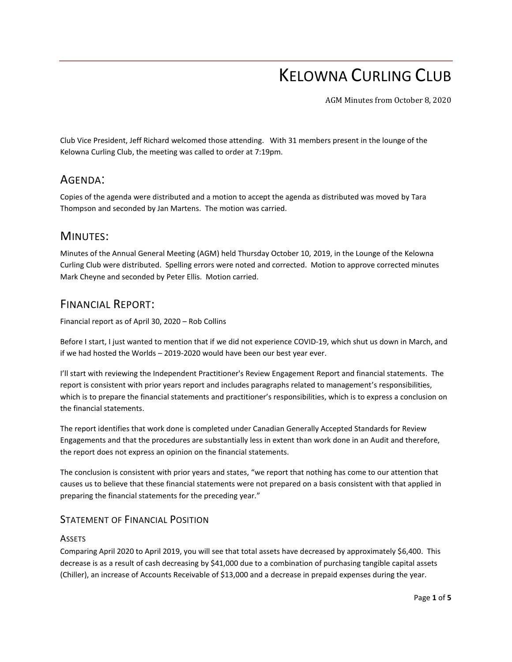# KELOWNA CURLING CLUB

AGM Minutes from October 8, 2020

Club Vice President, Jeff Richard welcomed those attending. With 31 members present in the lounge of the Kelowna Curling Club, the meeting was called to order at 7:19pm.

# AGENDA:

Copies of the agenda were distributed and a motion to accept the agenda as distributed was moved by Tara Thompson and seconded by Jan Martens. The motion was carried.

## MINUTES:

Minutes of the Annual General Meeting (AGM) held Thursday October 10, 2019, in the Lounge of the Kelowna Curling Club were distributed. Spelling errors were noted and corrected. Motion to approve corrected minutes Mark Cheyne and seconded by Peter Ellis. Motion carried.

# FINANCIAL REPORT:

Financial report as of April 30, 2020 – Rob Collins

Before I start, I just wanted to mention that if we did not experience COVID-19, which shut us down in March, and if we had hosted the Worlds – 2019-2020 would have been our best year ever.

I'll start with reviewing the Independent Practitioner's Review Engagement Report and financial statements. The report is consistent with prior years report and includes paragraphs related to management's responsibilities, which is to prepare the financial statements and practitioner's responsibilities, which is to express a conclusion on the financial statements.

The report identifies that work done is completed under Canadian Generally Accepted Standards for Review Engagements and that the procedures are substantially less in extent than work done in an Audit and therefore, the report does not express an opinion on the financial statements.

The conclusion is consistent with prior years and states, "we report that nothing has come to our attention that causes us to believe that these financial statements were not prepared on a basis consistent with that applied in preparing the financial statements for the preceding year."

## STATEMENT OF FINANCIAL POSITION

### **ASSETS**

Comparing April 2020 to April 2019, you will see that total assets have decreased by approximately \$6,400. This decrease is as a result of cash decreasing by \$41,000 due to a combination of purchasing tangible capital assets (Chiller), an increase of Accounts Receivable of \$13,000 and a decrease in prepaid expenses during the year.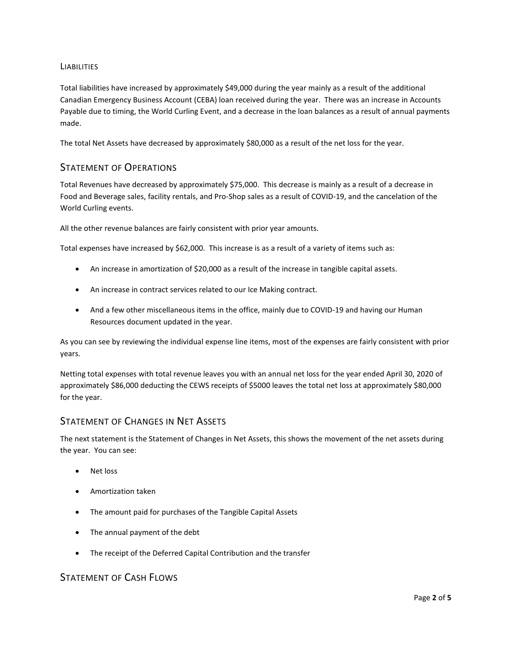#### **LIABILITIES**

Total liabilities have increased by approximately \$49,000 during the year mainly as a result of the additional Canadian Emergency Business Account (CEBA) loan received during the year. There was an increase in Accounts Payable due to timing, the World Curling Event, and a decrease in the loan balances as a result of annual payments made.

The total Net Assets have decreased by approximately \$80,000 as a result of the net loss for the year.

## STATEMENT OF OPERATIONS

Total Revenues have decreased by approximately \$75,000. This decrease is mainly as a result of a decrease in Food and Beverage sales, facility rentals, and Pro-Shop sales as a result of COVID-19, and the cancelation of the World Curling events.

All the other revenue balances are fairly consistent with prior year amounts.

Total expenses have increased by \$62,000. This increase is as a result of a variety of items such as:

- An increase in amortization of \$20,000 as a result of the increase in tangible capital assets.
- An increase in contract services related to our Ice Making contract.
- And a few other miscellaneous items in the office, mainly due to COVID-19 and having our Human Resources document updated in the year.

As you can see by reviewing the individual expense line items, most of the expenses are fairly consistent with prior years.

Netting total expenses with total revenue leaves you with an annual net loss for the year ended April 30, 2020 of approximately \$86,000 deducting the CEWS receipts of \$5000 leaves the total net loss at approximately \$80,000 for the year.

### STATEMENT OF CHANGES IN NET ASSETS

The next statement is the Statement of Changes in Net Assets, this shows the movement of the net assets during the year. You can see:

- Net loss
- Amortization taken
- The amount paid for purchases of the Tangible Capital Assets
- The annual payment of the debt
- The receipt of the Deferred Capital Contribution and the transfer

## STATEMENT OF CASH FLOWS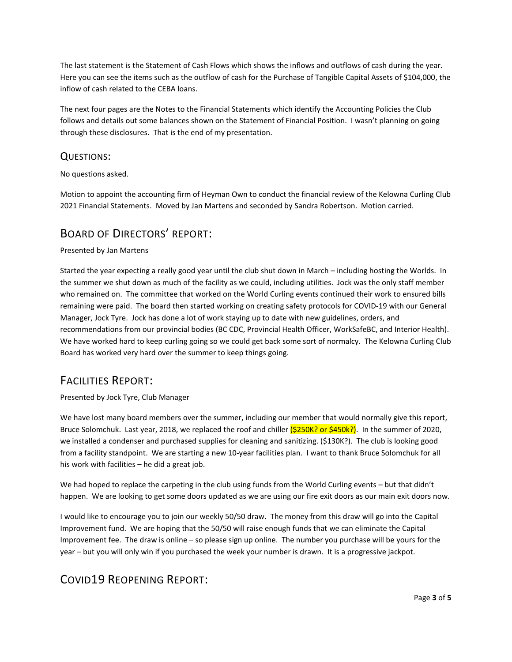The last statement is the Statement of Cash Flows which shows the inflows and outflows of cash during the year. Here you can see the items such as the outflow of cash for the Purchase of Tangible Capital Assets of \$104,000, the inflow of cash related to the CEBA loans.

The next four pages are the Notes to the Financial Statements which identify the Accounting Policies the Club follows and details out some balances shown on the Statement of Financial Position. I wasn't planning on going through these disclosures. That is the end of my presentation.

## QUESTIONS:

No questions asked.

Motion to appoint the accounting firm of Heyman Own to conduct the financial review of the Kelowna Curling Club 2021 Financial Statements. Moved by Jan Martens and seconded by Sandra Robertson. Motion carried.

## BOARD OF DIRECTORS' REPORT:

#### Presented by Jan Martens

Started the year expecting a really good year until the club shut down in March – including hosting the Worlds. In the summer we shut down as much of the facility as we could, including utilities. Jock was the only staff member who remained on. The committee that worked on the World Curling events continued their work to ensured bills remaining were paid. The board then started working on creating safety protocols for COVID-19 with our General Manager, Jock Tyre. Jock has done a lot of work staying up to date with new guidelines, orders, and recommendations from our provincial bodies (BC CDC, Provincial Health Officer, WorkSafeBC, and Interior Health). We have worked hard to keep curling going so we could get back some sort of normalcy. The Kelowna Curling Club Board has worked very hard over the summer to keep things going.

# FACILITIES REPORT:

#### Presented by Jock Tyre, Club Manager

We have lost many board members over the summer, including our member that would normally give this report, Bruce Solomchuk. Last year, 2018, we replaced the roof and chiller  $(S250K$ ? or  $S450k$ ?). In the summer of 2020, we installed a condenser and purchased supplies for cleaning and sanitizing. (\$130K?). The club is looking good from a facility standpoint. We are starting a new 10-year facilities plan. I want to thank Bruce Solomchuk for all his work with facilities – he did a great job.

We had hoped to replace the carpeting in the club using funds from the World Curling events – but that didn't happen. We are looking to get some doors updated as we are using our fire exit doors as our main exit doors now.

I would like to encourage you to join our weekly 50/50 draw. The money from this draw will go into the Capital Improvement fund. We are hoping that the 50/50 will raise enough funds that we can eliminate the Capital Improvement fee. The draw is online – so please sign up online. The number you purchase will be yours for the year – but you will only win if you purchased the week your number is drawn. It is a progressive jackpot.

# COVID19 REOPENING REPORT: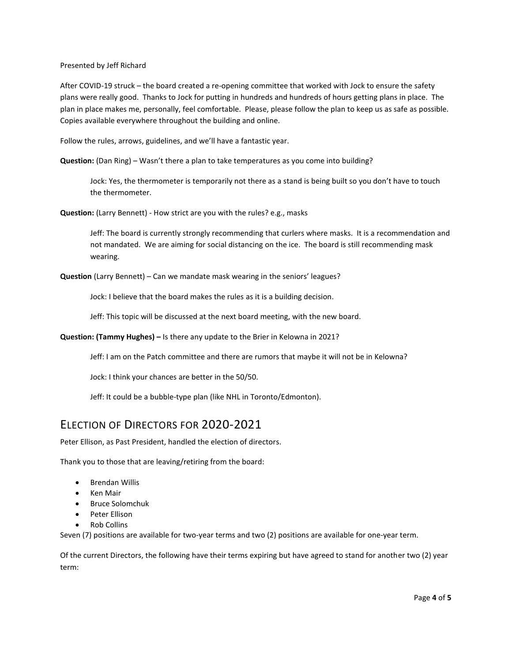Presented by Jeff Richard

After COVID-19 struck – the board created a re-opening committee that worked with Jock to ensure the safety plans were really good. Thanks to Jock for putting in hundreds and hundreds of hours getting plans in place. The plan in place makes me, personally, feel comfortable. Please, please follow the plan to keep us as safe as possible. Copies available everywhere throughout the building and online.

Follow the rules, arrows, guidelines, and we'll have a fantastic year.

**Question:** (Dan Ring) – Wasn't there a plan to take temperatures as you come into building?

Jock: Yes, the thermometer is temporarily not there as a stand is being built so you don't have to touch the thermometer.

**Question:** (Larry Bennett) - How strict are you with the rules? e.g., masks

Jeff: The board is currently strongly recommending that curlers where masks. It is a recommendation and not mandated. We are aiming for social distancing on the ice. The board is still recommending mask wearing.

**Question** (Larry Bennett) – Can we mandate mask wearing in the seniors' leagues?

Jock: I believe that the board makes the rules as it is a building decision.

Jeff: This topic will be discussed at the next board meeting, with the new board.

**Question: (Tammy Hughes) –** Is there any update to the Brier in Kelowna in 2021?

Jeff: I am on the Patch committee and there are rumors that maybe it will not be in Kelowna?

Jock: I think your chances are better in the 50/50.

Jeff: It could be a bubble-type plan (like NHL in Toronto/Edmonton).

# ELECTION OF DIRECTORS FOR 2020-2021

Peter Ellison, as Past President, handled the election of directors.

Thank you to those that are leaving/retiring from the board:

- Brendan Willis
- Ken Mair
- Bruce Solomchuk
- Peter Ellison
- Rob Collins

Seven (7) positions are available for two-year terms and two (2) positions are available for one-year term.

Of the current Directors, the following have their terms expiring but have agreed to stand for another two (2) year term: